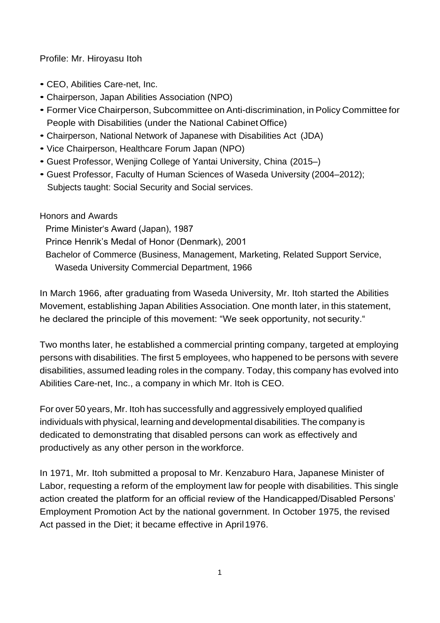Profile: Mr. Hiroyasu Itoh

- CEO, Abilities Care-net, Inc.
- Chairperson, Japan Abilities Association (NPO)
- Former Vice Chairperson, Subcommittee on Anti-discrimination, in Policy Committee for People with Disabilities (under the National Cabinet Office)
- Chairperson, National Network of Japanese with Disabilities Act (JDA)
- Vice Chairperson, Healthcare Forum Japan (NPO)
- Guest Professor, Wenjing College of Yantai University, China (2015–)
- Guest Professor, Faculty of Human Sciences of Waseda University (2004–2012); Subjects taught: Social Security and Social services.

Honors and Awards

Prime Minister's Award (Japan), 1987 Prince Henrik's Medal of Honor (Denmark), 2001 Bachelor of Commerce (Business, Management, Marketing, Related Support Service, Waseda University Commercial Department, 1966

In March 1966, after graduating from Waseda University, Mr. Itoh started the Abilities Movement, establishing Japan Abilities Association. One month later, in this statement, he declared the principle of this movement: "We seek opportunity, not security."

Two months later, he established a commercial printing company, targeted at employing persons with disabilities. The first 5 employees, who happened to be persons with severe disabilities, assumed leading roles in the company. Today, this company has evolved into Abilities Care-net, Inc., a company in which Mr. Itoh is CEO.

For over 50 years, Mr. Itoh has successfully and aggressively employed qualified individuals with physical, learning and developmental disabilities. The company is dedicated to demonstrating that disabled persons can work as effectively and productively as any other person in the workforce.

In 1971, Mr. Itoh submitted a proposal to Mr. Kenzaburo Hara, Japanese Minister of Labor, requesting a reform of the employment law for people with disabilities. This single action created the platform for an official review of the Handicapped/Disabled Persons' Employment Promotion Act by the national government. In October 1975, the revised Act passed in the Diet; it became effective in April 1976.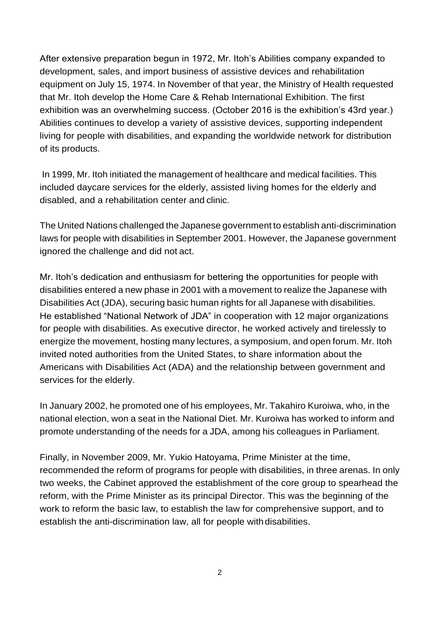After extensive preparation begun in 1972, Mr. Itoh's Abilities company expanded to development, sales, and import business of assistive devices and rehabilitation equipment on July 15, 1974. In November of that year, the Ministry of Health requested that Mr. Itoh develop the Home Care & Rehab International Exhibition. The first exhibition was an overwhelming success. (October 2016 is the exhibition's 43rd year.) Abilities continues to develop a variety of assistive devices, supporting independent living for people with disabilities, and expanding the worldwide network for distribution of its products.

In 1999, Mr. Itoh initiated the management of healthcare and medical facilities. This included daycare services for the elderly, assisted living homes for the elderly and disabled, and a rehabilitation center and clinic.

The United Nations challenged the Japanese government to establish anti-discrimination laws for people with disabilities in September 2001. However, the Japanese government ignored the challenge and did not act.

Mr. Itoh's dedication and enthusiasm for bettering the opportunities for people with disabilities entered a new phase in 2001 with a movement to realize the Japanese with Disabilities Act (JDA), securing basic human rights for all Japanese with disabilities. He established "National Network of JDA" in cooperation with 12 major organizations for people with disabilities. As executive director, he worked actively and tirelessly to energize the movement, hosting many lectures, a symposium, and open forum. Mr. Itoh invited noted authorities from the United States, to share information about the Americans with Disabilities Act (ADA) and the relationship between government and services for the elderly.

In January 2002, he promoted one of his employees, Mr. Takahiro Kuroiwa, who, in the national election, won a seat in the National Diet. Mr. Kuroiwa has worked to inform and promote understanding of the needs for a JDA, among his colleagues in Parliament.

Finally, in November 2009, Mr. Yukio Hatoyama, Prime Minister at the time, recommended the reform of programs for people with disabilities, in three arenas. In only two weeks, the Cabinet approved the establishment of the core group to spearhead the reform, with the Prime Minister as its principal Director. This was the beginning of the work to reform the basic law, to establish the law for comprehensive support, and to establish the anti-discrimination law, all for people withdisabilities.